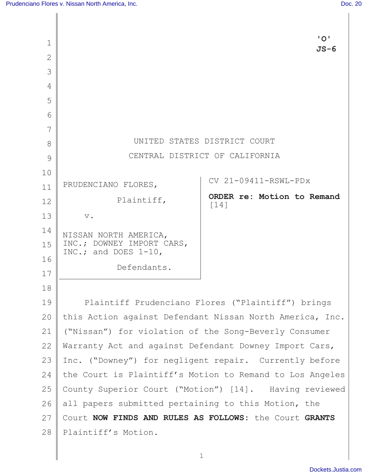|                |                                                          | "O"                                                      |
|----------------|----------------------------------------------------------|----------------------------------------------------------|
| 1              |                                                          | $JS-6$                                                   |
| $\overline{2}$ |                                                          |                                                          |
| 3              |                                                          |                                                          |
| 4              |                                                          |                                                          |
| 5              |                                                          |                                                          |
| 6              |                                                          |                                                          |
| 7              |                                                          |                                                          |
| 8              | UNITED STATES DISTRICT COURT                             |                                                          |
| 9              |                                                          | CENTRAL DISTRICT OF CALIFORNIA                           |
| 10             |                                                          | CV 21-09411-RSWL-PDx                                     |
| 11             | PRUDENCIANO FLORES,                                      |                                                          |
| 12             | Plaintiff,                                               | ORDER re: Motion to Remand<br>$\lceil 14 \rceil$         |
| 13             | $\mathbf v$ .                                            |                                                          |
| 14             | NISSAN NORTH AMERICA,                                    |                                                          |
| 15             | INC.; DOWNEY IMPORT CARS,<br>INC.; and DOES $1-10$ ,     |                                                          |
| 16             |                                                          |                                                          |
| 17             | Defendants.                                              |                                                          |
| 18             |                                                          |                                                          |
| 19             |                                                          | Plaintiff Prudenciano Flores ("Plaintiff") brings        |
| 20             |                                                          | this Action against Defendant Nissan North America, Inc. |
| 21             | ("Nissan") for violation of the Song-Beverly Consumer    |                                                          |
| 22             | Warranty Act and against Defendant Downey Import Cars,   |                                                          |
| 23             |                                                          | Inc. ("Downey") for negligent repair. Currently before   |
| 24             | the Court is Plaintiff's Motion to Remand to Los Angeles |                                                          |
| 25             | County Superior Court ("Motion") [14]. Having reviewed   |                                                          |
| 26             | all papers submitted pertaining to this Motion, the      |                                                          |
| 27             | Court NOW FINDS AND RULES AS FOLLOWS: the Court GRANTS   |                                                          |
| 28             | Plaintiff's Motion.                                      |                                                          |
|                |                                                          |                                                          |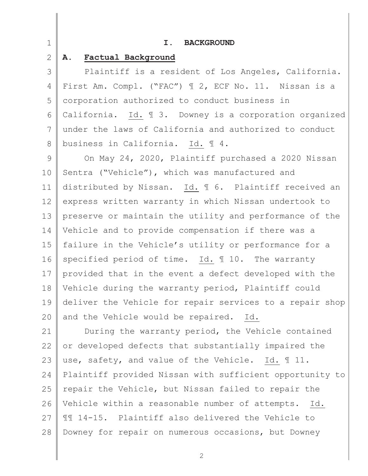| $\mathbf 1$   | I.<br><b>BACKGROUND</b>                                  |
|---------------|----------------------------------------------------------|
| 2             | Factual Background<br><b>A.</b>                          |
| 3             | Plaintiff is a resident of Los Angeles, California.      |
| 4             | First Am. Compl. ("FAC") 1 2, ECF No. 11. Nissan is a    |
| 5             | corporation authorized to conduct business in            |
| 6             | California. Id. 1 3. Downey is a corporation organized   |
| 7             | under the laws of California and authorized to conduct   |
| 8             | business in California. Id. 14.                          |
| $\mathcal{G}$ | On May 24, 2020, Plaintiff purchased a 2020 Nissan       |
| 10            | Sentra ("Vehicle"), which was manufactured and           |
| 11            | distributed by Nissan. Id. 16. Plaintiff received an     |
| 12            | express written warranty in which Nissan undertook to    |
| 13            | preserve or maintain the utility and performance of the  |
| 14            | Vehicle and to provide compensation if there was a       |
| 15            | failure in the Vehicle's utility or performance for a    |
| 16            | specified period of time. Id. 10. The warranty           |
| 17            | provided that in the event a defect developed with the   |
| 18            | Vehicle during the warranty period, Plaintiff could      |
| 19            | deliver the Vehicle for repair services to a repair shop |
| 20            | and the Vehicle would be repaired. Id.                   |
| 21            | During the warranty period, the Vehicle contained        |
| 22            | or developed defects that substantially impaired the     |
| 23            | use, safety, and value of the Vehicle. Id. 11.           |
| 24            | Plaintiff provided Nissan with sufficient opportunity to |
| 25            | repair the Vehicle, but Nissan failed to repair the      |
| 26            | Vehicle within a reasonable number of attempts. Id.      |
| 27            | II 14-15. Plaintiff also delivered the Vehicle to        |

2

28 Downey for repair on numerous occasions, but Downey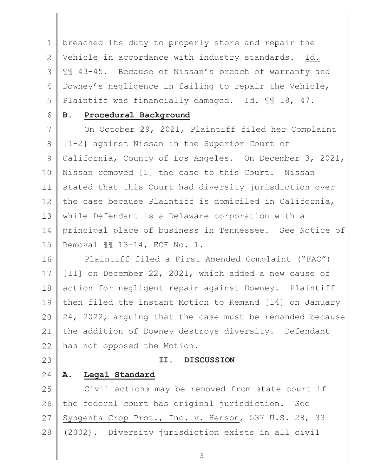1 2 3 4 5  $\mathbb{R}$ breached its duty to properly store and repair the Vehicle in accordance with industry standards. Id. ¶¶ 43-45. Because of Nissan's breach of warranty and Downey's negligence in failing to repair the Vehicle, Plaintiff was financially damaged. Id. ¶¶ 18, 47.

## **B. Procedural Background**

7 8 9 10 11 12 13 14 15 On October 29, 2021, Plaintiff filed her Complaint [1-2] against Nissan in the Superior Court of California, County of Los Angeles. On December 3, 2021, Nissan removed [1] the case to this Court. Nissan stated that this Court had diversity jurisdiction over the case because Plaintiff is domiciled in California, while Defendant is a Delaware corporation with a principal place of business in Tennessee. See Notice of Removal ¶¶ 13-14, ECF No. 1.

16 17 18 19 20 21 22 Plaintiff filed a First Amended Complaint ("FAC") [11] on December 22, 2021, which added a new cause of action for negligent repair against Downey. Plaintiff then filed the instant Motion to Remand [14] on January 24, 2022, arguing that the case must be remanded because the addition of Downey destroys diversity. Defendant has not opposed the Motion.

23

6

### **II. DISCUSSION**

#### 24 **A. Legal Standard**

25 26 27 28 Civil actions may be removed from state court if the federal court has original jurisdiction. See Syngenta Crop Prot., Inc. v. Henson, 537 U.S. 28, 33 (2002). Diversity jurisdiction exists in all civil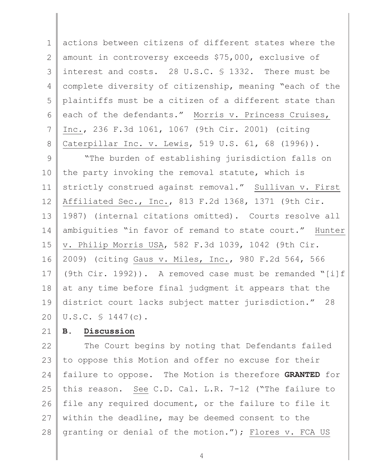1 2 3 4 5 6 7 8  $\mathbb{R}$ actions between citizens of different states where the amount in controversy exceeds \$75,000, exclusive of interest and costs. 28 U.S.C. § 1332. There must be complete diversity of citizenship, meaning "each of the plaintiffs must be a citizen of a different state than each of the defendants." Morris v. Princess Cruises, Inc., 236 F.3d 1061, 1067 (9th Cir. 2001) (citing Caterpillar Inc. v. Lewis, 519 U.S. 61, 68 (1996)).

9 10 11 12 13 14 15 16 17 18 19 20 "The burden of establishing jurisdiction falls on the party invoking the removal statute, which is strictly construed against removal." Sullivan v. First Affiliated Sec., Inc., 813 F.2d 1368, 1371 (9th Cir. 1987) (internal citations omitted). Courts resolve all ambiguities "in favor of remand to state court." Hunter v. Philip Morris USA, 582 F.3d 1039, 1042 (9th Cir. 2009) (citing Gaus v. Miles, Inc., 980 F.2d 564, 566 (9th Cir. 1992)). A removed case must be remanded "[i]f at any time before final judgment it appears that the district court lacks subject matter jurisdiction." 28 U.S.C. § 1447(c).

#### 21 **B. Discussion**

22 23 24 25 26 27 28 The Court begins by noting that Defendants failed to oppose this Motion and offer no excuse for their failure to oppose. The Motion is therefore **GRANTED** for this reason. See C.D. Cal. L.R. 7-12 ("The failure to file any required document, or the failure to file it within the deadline, may be deemed consent to the granting or denial of the motion."); Flores v. FCA US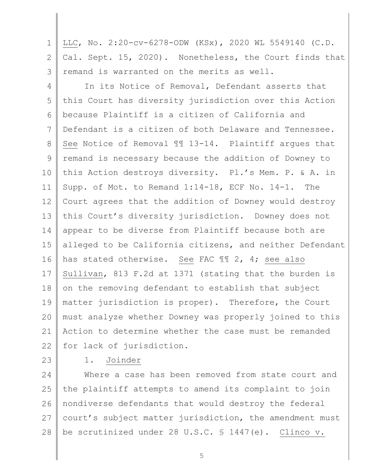1 2 3  $\mathbb{R}$ LLC, No. 2:20-cv-6278-ODW (KSx), 2020 WL 5549140 (C.D. Cal. Sept. 15, 2020). Nonetheless, the Court finds that remand is warranted on the merits as well.

4 5 6 7 8 9 10 11 12 13 14 15 16 17 18 19 20 21 22 In its Notice of Removal, Defendant asserts that this Court has diversity jurisdiction over this Action because Plaintiff is a citizen of California and Defendant is a citizen of both Delaware and Tennessee. See Notice of Removal ¶¶ 13-14. Plaintiff argues that remand is necessary because the addition of Downey to this Action destroys diversity. Pl.'s Mem. P. & A. in Supp. of Mot. to Remand 1:14-18, ECF No. 14-1. The Court agrees that the addition of Downey would destroy this Court's diversity jurisdiction. Downey does not appear to be diverse from Plaintiff because both are alleged to be California citizens, and neither Defendant has stated otherwise. See FAC ¶¶ 2, 4; see also Sullivan, 813 F.2d at 1371 (stating that the burden is on the removing defendant to establish that subject matter jurisdiction is proper). Therefore, the Court must analyze whether Downey was properly joined to this Action to determine whether the case must be remanded for lack of jurisdiction.

23

# 1. Joinder

24 25 26 27 28 Where a case has been removed from state court and the plaintiff attempts to amend its complaint to join nondiverse defendants that would destroy the federal court's subject matter jurisdiction, the amendment must be scrutinized under 28 U.S.C. § 1447(e). Clinco v.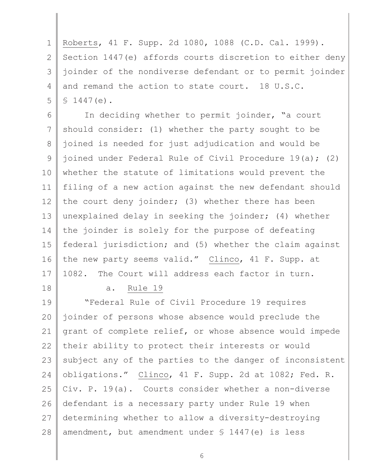1 2 3 4 5  $\mathbb{R}$ Roberts, 41 F. Supp. 2d 1080, 1088 (C.D. Cal. 1999). Section 1447(e) affords courts discretion to either deny joinder of the nondiverse defendant or to permit joinder and remand the action to state court. 18 U.S.C.  $$1447(e)$ .

6 7 8 9 10 11 12 13 14 15 16 17 In deciding whether to permit joinder, "a court should consider: (1) whether the party sought to be joined is needed for just adjudication and would be joined under Federal Rule of Civil Procedure 19(a); (2) whether the statute of limitations would prevent the filing of a new action against the new defendant should the court deny joinder; (3) whether there has been unexplained delay in seeking the joinder; (4) whether the joinder is solely for the purpose of defeating federal jurisdiction; and (5) whether the claim against the new party seems valid." Clinco, 41 F. Supp. at 1082. The Court will address each factor in turn.

18

a. Rule 19

19 20 21 22 23 24 25 26 27 28 "Federal Rule of Civil Procedure 19 requires joinder of persons whose absence would preclude the grant of complete relief, or whose absence would impede their ability to protect their interests or would subject any of the parties to the danger of inconsistent obligations." Clinco, 41 F. Supp. 2d at 1082; Fed. R. Civ. P. 19(a). Courts consider whether a non-diverse defendant is a necessary party under Rule 19 when determining whether to allow a diversity-destroying amendment, but amendment under § 1447(e) is less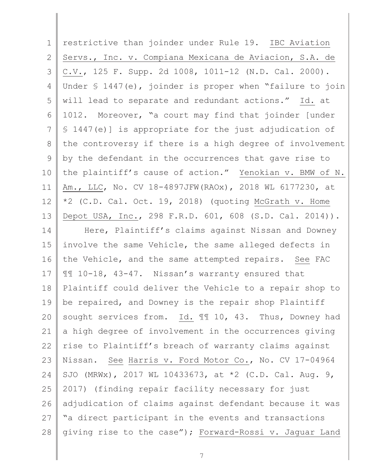| $\mathbf 1$ | restrictive than joinder under Rule 19. IBC Aviation     |
|-------------|----------------------------------------------------------|
| 2           | Servs., Inc. v. Compiana Mexicana de Aviacion, S.A. de   |
| 3           | C.V., 125 F. Supp. 2d 1008, 1011-12 (N.D. Cal. 2000).    |
| 4           | Under § 1447(e), joinder is proper when "failure to join |
| 5           | will lead to separate and redundant actions." Id. at     |
| 6           | 1012. Moreover, "a court may find that joinder [under    |
| 7           | \$ 1447(e)] is appropriate for the just adjudication of  |
| 8           | the controversy if there is a high degree of involvement |
| 9           | by the defendant in the occurrences that gave rise to    |
| 10          | the plaintiff's cause of action." Yenokian v. BMW of N.  |
| 11          | Am., LLC, No. CV 18-4897JFW (RAOx), 2018 WL 6177230, at  |
| 12          | *2 (C.D. Cal. Oct. 19, 2018) (quoting McGrath v. Home    |
| 13          | Depot USA, Inc., 298 F.R.D. 601, 608 (S.D. Cal. 2014)).  |
| 14          | Here, Plaintiff's claims against Nissan and Downey       |
| 15          | involve the same Vehicle, the same alleged defects in    |
| 16          | the Vehicle, and the same attempted repairs. See FAC     |
| 17          | II 10-18, 43-47. Nissan's warranty ensured that          |
| 18          | Plaintiff could deliver the Vehicle to a repair shop to  |
| 19          | be repaired, and Downey is the repair shop Plaintiff     |
| 20          | sought services from. Id. 11 10, 43. Thus, Downey had    |
| 21          | a high degree of involvement in the occurrences giving   |
| 22          | rise to Plaintiff's breach of warranty claims against    |
| 23          | Nissan. See Harris v. Ford Motor Co., No. CV 17-04964    |
| 24          | SJO (MRWx), 2017 WL 10433673, at *2 (C.D. Cal. Aug. 9,   |
| 25          | 2017) (finding repair facility necessary for just        |
|             |                                                          |
| 26          | adjudication of claims against defendant because it was  |
| 27          | "a direct participant in the events and transactions     |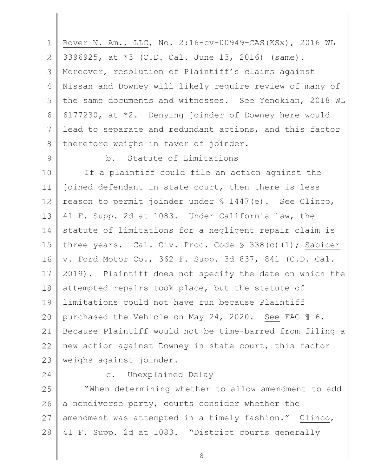1 2 3 4 5 6 7 8  $\mathbb{R}$ Rover N. Am., LLC, No. 2:16-cv-00949-CAS(KSx), 2016 WL 3396925, at \*3 (C.D. Cal. June 13, 2016) (same). Moreover, resolution of Plaintiff's claims against Nissan and Downey will likely require review of many of the same documents and witnesses. See Yenokian, 2018 WL 6177230, at \*2. Denying joinder of Downey here would lead to separate and redundant actions, and this factor therefore weighs in favor of joinder.

9

# b. Statute of Limitations

10 11 12 13 14 15 16 17 18 19 20 21 22 23 If a plaintiff could file an action against the joined defendant in state court, then there is less reason to permit joinder under § 1447(e). See Clinco, 41 F. Supp. 2d at 1083. Under California law, the statute of limitations for a negligent repair claim is three years. Cal. Civ. Proc. Code § 338(c)(1); Sabicer v. Ford Motor Co., 362 F. Supp. 3d 837, 841 (C.D. Cal. 2019). Plaintiff does not specify the date on which the attempted repairs took place, but the statute of limitations could not have run because Plaintiff purchased the Vehicle on May 24, 2020. See FAC ¶ 6. Because Plaintiff would not be time-barred from filing a new action against Downey in state court, this factor weighs against joinder.

24

### c. Unexplained Delay

25 26 27 28 "When determining whether to allow amendment to add a nondiverse party, courts consider whether the amendment was attempted in a timely fashion." Clinco, 41 F. Supp. 2d at 1083. "District courts generally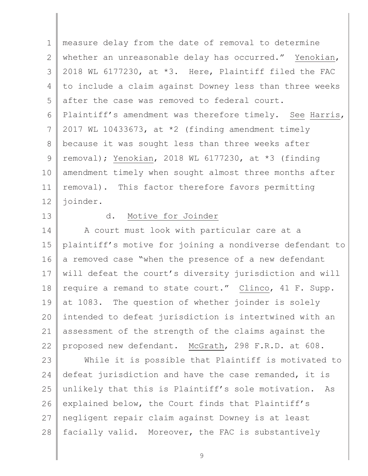1 2 3 4 5 6 7 8 9 10 11 12  $\mathbb{R}$ measure delay from the date of removal to determine whether an unreasonable delay has occurred." Yenokian, 2018 WL 6177230, at \*3. Here, Plaintiff filed the FAC to include a claim against Downey less than three weeks after the case was removed to federal court. Plaintiff's amendment was therefore timely. See Harris, 2017 WL 10433673, at \*2 (finding amendment timely because it was sought less than three weeks after removal); Yenokian, 2018 WL 6177230, at \*3 (finding amendment timely when sought almost three months after removal). This factor therefore favors permitting joinder.

13

# d. Motive for Joinder

14 15 16 17 18 19 20 21 22 A court must look with particular care at a plaintiff's motive for joining a nondiverse defendant to a removed case "when the presence of a new defendant will defeat the court's diversity jurisdiction and will require a remand to state court." Clinco, 41 F. Supp. at 1083. The question of whether joinder is solely intended to defeat jurisdiction is intertwined with an assessment of the strength of the claims against the proposed new defendant. McGrath, 298 F.R.D. at 608.

23 24 25 26 27 28 While it is possible that Plaintiff is motivated to defeat jurisdiction and have the case remanded, it is unlikely that this is Plaintiff's sole motivation. As explained below, the Court finds that Plaintiff's negligent repair claim against Downey is at least facially valid. Moreover, the FAC is substantively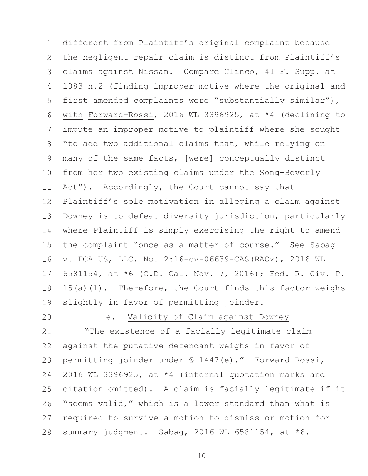1 2 3 4 5 6 7 8 9 10 11 12 13 14 15 16 17 18 19  $\mathbb{R}$ different from Plaintiff's original complaint because the negligent repair claim is distinct from Plaintiff's claims against Nissan. Compare Clinco, 41 F. Supp. at 1083 n.2 (finding improper motive where the original and first amended complaints were "substantially similar"), with Forward-Rossi, 2016 WL 3396925, at \*4 (declining to impute an improper motive to plaintiff where she sought "to add two additional claims that, while relying on many of the same facts, [were] conceptually distinct from her two existing claims under the Song-Beverly Act"). Accordingly, the Court cannot say that Plaintiff's sole motivation in alleging a claim against Downey is to defeat diversity jurisdiction, particularly where Plaintiff is simply exercising the right to amend the complaint "once as a matter of course." See Sabag v. FCA US, LLC, No. 2:16-cv-06639-CAS(RAOx), 2016 WL 6581154, at \*6 (C.D. Cal. Nov. 7, 2016); Fed. R. Civ. P. 15(a)(1). Therefore, the Court finds this factor weighs slightly in favor of permitting joinder.

20

e. Validity of Claim against Downey

21 22 23 24 25 26 27 28 "The existence of a facially legitimate claim against the putative defendant weighs in favor of permitting joinder under § 1447(e)." Forward-Rossi, 2016 WL 3396925, at \*4 (internal quotation marks and citation omitted). A claim is facially legitimate if it "seems valid," which is a lower standard than what is required to survive a motion to dismiss or motion for summary judgment. Sabag, 2016 WL 6581154, at  $*6$ .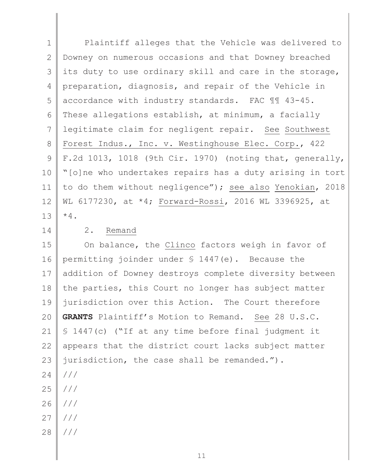1 2 3 4 5 6 7 8 9 10 11 12 13  $\mathbb{R}$ Plaintiff alleges that the Vehicle was delivered to Downey on numerous occasions and that Downey breached its duty to use ordinary skill and care in the storage, preparation, diagnosis, and repair of the Vehicle in accordance with industry standards. FAC ¶¶ 43-45. These allegations establish, at minimum, a facially legitimate claim for negligent repair. See Southwest Forest Indus., Inc. v. Westinghouse Elec. Corp., 422 F.2d 1013, 1018 (9th Cir. 1970) (noting that, generally, "[o]ne who undertakes repairs has a duty arising in tort to do them without negligence"); see also Yenokian, 2018 WL 6177230, at \*4; Forward-Rossi, 2016 WL 3396925, at  $*4.$ 

14

## 2. Remand

15 16 17 18 19 20 21 22 23 On balance, the Clinco factors weigh in favor of permitting joinder under § 1447(e). Because the addition of Downey destroys complete diversity between the parties, this Court no longer has subject matter jurisdiction over this Action. The Court therefore **GRANTS** Plaintiff's Motion to Remand. See 28 U.S.C. § 1447(c) ("If at any time before final judgment it appears that the district court lacks subject matter jurisdiction, the case shall be remanded.").

- 24 25 /// ///
- 26 ///
- 27 ///
- 28 ///